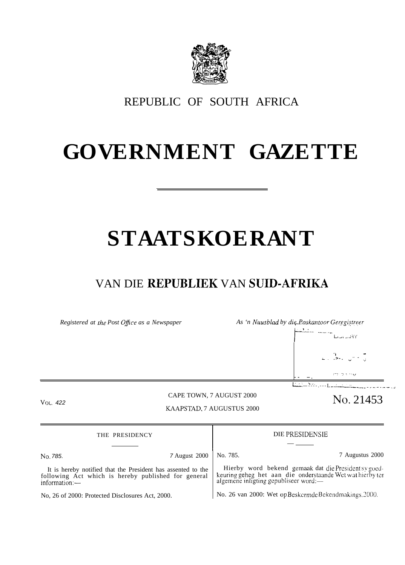

REPUBLIC OF SOUTH AFRICA

## **GOVERNMENT GAZETTE**

# **STAATSKOERANT**

### VAN DIE REPUBLIEK VAN SUID-AFRIKA

*Registered at the Post Office as a Newspaper As 'n Nuusblad by die Poskantoor Geregistreer* 

t----- '"--"-" , , **1** , )<br><del>. . . . . . . . . . . . . . .</del>  $L_{i,j}$ , . $AY$ ,1 . . **L. .>-. ""' -.., :-, > .. -.,, -- — . ~. ..,.** —----.---L. -———-—-—. ",' . . . . . . . . ,

#### CAPE TOWN, 7 AUGUST 2000 VOL. 422 CAPE TOWN, 7 AUGUST 2000 NO. 21453

### KAAPSTAD, 7 AUGUSTUS 2000

| THE PRESIDENCY                                                                                                                       |                      | DIE PRESIDENSIE                                                                                                                                         |                 |
|--------------------------------------------------------------------------------------------------------------------------------------|----------------------|---------------------------------------------------------------------------------------------------------------------------------------------------------|-----------------|
|                                                                                                                                      |                      |                                                                                                                                                         |                 |
| No. 785.                                                                                                                             | <b>7 August</b> 2000 | No. 785.                                                                                                                                                | 7 Augustus 2000 |
| It is hereby notified that the President has assented to the<br>following Act which is hereby published for general<br>information:- |                      | Hierby word bekend gemaak dat die President sv goed-<br>keuring geheg het aan die onderstaande Wet wat hierby ter algemene inligting gepubliseer word:— |                 |
| No, 26 of 2000: Protected Disclosures Act, 2000.                                                                                     |                      | No. 26 van 2000: Wet op Beskermde Bekendmakings. 2000.                                                                                                  |                 |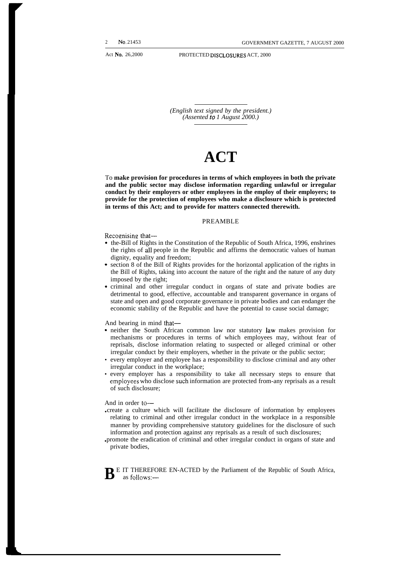*(English text signed by the president.) (Assented to 1 August 2000.)*

## **ACT**

To **make provision for procedures in terms of which employees in both the private and the public sector may disclose information regarding unlawful or irregular conduct by their employers or other employees in the employ of their employers; to provide for the protection of employees who make a disclosure which is protected in terms of this Act; and to provide for matters connected therewith.**

#### PREAMBLE

Recognising that—

- the-Bill of Rights in the Constitution of the Republic of South Africa, 1996, enshrines the rights of all people in the Republic and affirms the democratic values of human dignity, equality and freedom;
- . section 8 of the Bill of Rights provides for the horizontal application of the rights in the Bill of Rights, taking into account the nature of the right and the nature of any duty imposed by the right;
- . criminal and other irregular conduct in organs of state and private bodies are detrimental to good, effective, accountable and transparent governance in organs of state and open and good corporate governance in private bodies and can endanger the economic stability of the Republic and have the potential to cause social damage;

And bearing in mind that—

- . neither the South African common law nor statutory law makes provision for mechanisms or procedures in terms of which employees may, without fear of reprisals, disclose information relating to suspected or alleged criminal or other irregular conduct by their employers, whether in the private or the public sector;
- every employer and employee has a responsibility to disclose criminal and any other irregular conduct in the workplace;
- every employer has a responsibility to take all necessary steps to ensure that employees who disclose such information are protected from-any reprisals as a result of such disclosure;

#### And in order to—

- create a culture which will facilitate the disclosure of information by employees relating to criminal and other irregular conduct in the workplace in a responsible manner by providing comprehensive statutory guidelines for the disclosure of such information and protection against any reprisals as a result of such disclosures;
- promote the eradication of criminal and other irregular conduct in organs of state and private bodies,

**B** E IT THEREFORE EN-ACTED by the Parliament of the Republic of South Africa, as follows: as follows:—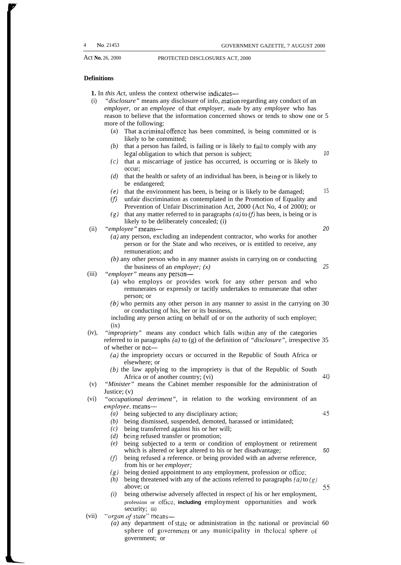#### **Definitions**

**1.** In *this Act,* unless the context otherwise indicates—

- (i) *"disclosure"* means any disclosure of info, mation regarding any conduct of an *employer,* or an *employee* of that *employer,* made by any *employee* who has reason to believe that the information concerned shows or tends to show one or 5 more of the following:
	- (a) That a criminal offence has been committed, is being committed or is likely to be committed;
	- *(b)* that a person has failed, is failing or is likely to fail to comply with any legal obligation to which that person is subject; 10
	- *(c)* that a miscarriage of justice has occurred, is occurring or is likely to occur;
	- *(d)* that the health or safety of an individual has been, is being or is likely to be endangered;
	- *(e)* that the environment has been, is being or is likely to be damaged; 15
	- *(f)* unfair discrimination as contemplated in the Promotion of Equality and Prevention of Unfair Discrimination Act, 2000 (Act No, 4 of 2000); or
	- $(g)$  that any matter referred to in paragraphs  $(a)$  to  $(f)$  has been, is being or is likely to be deliberately concealed; (i)
- (ii) *"employee"* means— 20

 $(a)$  any person, excluding an independent contractor, who works for another person or for the State and who receives, or is entitled to receive, any remuneration; and

*(b)* any other person who in any manner assists in carrying on or conducting the business of an *employer; (x) 25*

- (iii) *"employer"* means any person—
	- (a) who employs or provides work for any other person and who remunerates or expressly or tacitly undertakes to remunerate that other person; or
	- (b) who permits any other person in any manner to assist in the carrying on 30 or conducting of his, her or its business,

including any person acting on behalf of or on the authority of such employer;  $(ix)$ 

- (iv), "impropriety" means any conduct which falls within any of the categories referred to in paragraphs *(a)* to (g) of the definition of *"disclosure",* irrespective 35 of whether or not—
	- *(a)* the impropriety occurs or occurred in the Republic of South Africa or elsewhere; or
	- *(b)* the law applying to the impropriety is that of the Republic of South Africa or of another country;  $(vi)$  40
- (v) *"Minister"* means the Cabinet member responsible for the administration of Justice; (v)
- (vi) *"occupational detriment",* in relation to the working environment of an *emp[oyee,* means—
	- *(a)* being subjected to any disciplinary action; 45
	- *(b)* being dismissed, suspended, demoted, harassed or intimidated;
	- *(c)* being transferred against his or her will;
	- *(d)* being refused transfer or promotion;
	- *(e)* being subjected to a term or condition of employment or retirement which is altered or kept altered to his or her disadvantage; 50
	- *(fl* being refused a reference. or being provided with an adverse reference, from his or her *employer;*
	- *('g)* being denied appointment to any employment, profession or ofllce;
	- *(h)* being threatened with any of the actions referred to paragraphs  $(a)$  to  $(g)$ above; or 55
	- *(i)* being otherwise adversely affected in respect of his or her employment, profession or ollicc, **including** employment opportunities and work security; (ii)
- (vii) *"organ of state"* means—
	- (a) any department of state or administration in the national or provincial 60 sphere of government or any municipality in the local sphere of government; or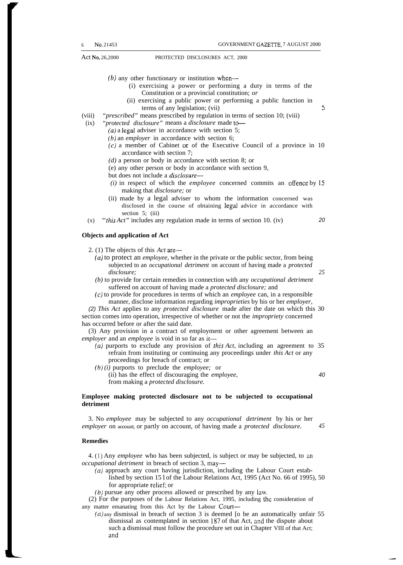- $(b)$  any other functionary or institution when—
	- (i) exercising a power or performing a duty in terms of the Constitution or a provincial constitution; *or*
	- (ii) exercising a public power or performing a public function in  $terms of any legislation; (vii)$   $5$
- (viii) *"prescribed"* means prescribed by regulation in terms of section 10; (viii)
- (ix) *"protected disclosure"* means a *disclosure* made to-
	- *(a)* a Iegal adviser in accordance with section 5;
	- *(b)* an *employer* in accordance with section 6;
	- $(c)$  a member of Cabinet or of the Executive Council of a province in 10 accordance with section 7;
	- *(d)* a person or body in accordance with section 8; or
	- (e) any other person or body in accordance with section 9,
	- but does not include a *disclosure—*
	- *(i)* in respect of which the *employee* concerned commits an otience by 15 making that *disclosure;* or
	- (ii) made by a legal adviser to whom the information concerned was disclosed in the course of obtaining legal advice in accordance with section 5; (iii)
- (x) *"this Act"* includes any regulation made in terms of section 10. (iv) 20

#### **Objects and application of Act**

2. (1) The objects of this *Act* are—

- $(a)$  to protect an *employee*, whether in the private or the public sector, from being subjected to an *occupational detriment* on account of having made a *protected disclosure; 25*
- *(b)* to provide for certain remedies in connection with any *occupational detriment* suffered on account of having made a *protected disclosure;* and
- (c) to provide for procedures in terms of which an *employee* can, in a responsible manner, disclose information regarding *improprieties* by his or her *employer,*

(2) *This Act* applies to any *protected disclosure* made after the date on which this 30 section comes into operation, irrespective of whether or not the *impropriety* concerned has occurred before or after the said date.

(3) Any provision in a contract of employment or other agreement between an *employer* and an *employee* is void in so far as it—

- *(a)* purports to exclude any provision of *this Act,* including an agreement to 35 refrain from instituting or continuing any proceedings under *this Act* or any proceedings for breach of contract; or
- *(b) (i)* purports to preclude the *employee;* or

(ii) has the effect of discouraging the *employee,* 40 from making a *protected disclosure.*

#### **Employee making protected disclosure not to be subjected to occupational detriment**

3. No *employee* may be subjected to any *occupational detriment* by his or her *employer* on account, or partly on account, of having made a *protected disclosure. 45*

#### **Remedies**

4. (]) Any *employee* who has been subjected, is subject or may be subjected, to an *occupational detriment* in breach of section 3, may—

- (a) approach any court having jurisdiction, including the Labour Court established by section 15 I of the Labour Relations Act, 1995 (Act No. 66 of 1995), 50 for appropriate relief; or
- *(b)* pursue any other process allowed or prescribed by any law.

(2) For the purposes of the Labour Relations Act, 1995, including the consideration of any matter emanating from this Act by the Labour Court—

*(a)* any dismissal in breach of section 3 is deemed [o be an automatically unfair 55 dismissal as contemplated in section 187 of that Act, ond the dispute about such a dismissal must follow the procedure set out in Chapter VIII of that Act; and

.—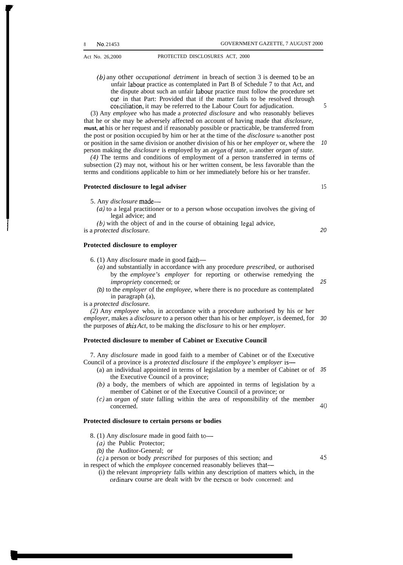*(b)* any other *occupational detriment* in breach of section 3 is deemed to be an unfair Iabour practice as contemplated in Part B of Schedule 7 to that Act, and the dispute about such an unfair labour practice must follow the procedure set out in that Part: Provided that if the matter fails to be resolved through conciliation, it may be referred to the Labour Court for adjudication.

(3) Any *employee* who has made a *protected disclosure* and who reasonably believes that he or she may be adversely affected on account of having made that *disclosure,* **must, at** his or her request and if reasonably possible or practicable, be transferred from the post or position occupied by him or her at the time of the *disclosure* to another post or position in the same division or another division of his or her *employer* or, where the person making the *disclosure* is employed by an *organ of state,* to another *organ of state.* 10

*(4)* The terms and conditions of employment of a person transferred in terms of subsection (2) may not, without his or her written consent, be less favorable than the terms and conditions applicable to him or her immediately before his or her transfer.

#### **Protected disclosure to legal adviser**

5. Any *disclosure* made—

(a) to a legal practitioner or to a person whose occupation involves the giving of legal advice; and

*(b)* with the object of and in the course of obtaining legal advice, is a *protected disclosure.*

#### **Protected disclosure to employer**

- 6. (1) Any *disclosure* made in good faith—
	- *(a)* and substantially in accordance with any procedure *prescribed,* or authorised by the *employee's employer* for reporting or otherwise remedying the *impropriety* concerned; or
	- (b) to the *employer* of the *employee,* where there is no procedure as contemplated in paragraph (a),

is a *protected disclosure.*

*(2)* Any *employee* who, in accordance with a procedure authorised by his or her *employer,* makes a *disclosure* to a person other than his or her *employer,* is deemed, for 30 the purposes of *rhis Act,* to be making the *disclosure* to his or her *employer.*

#### **Protected disclosure to member of Cabinet or Executive Council**

7. Any *disclosure* made in good faith to a member of Cabinet or of the Executive Council of a province is a *protected disclosure* if the *employee's employer* is—

- (a) an individual appointed in terms of legislation by a member of Cabinet or of 35 the Executive Council of a province;
- *(b)* a body, the members of which are appointed in terms of legislation by a member of Cabinet or of the Executive Council of a province; or

(c) an *organ of state* falling within the area of responsibility of the member concerned. 40

#### **Protected disclosure to certain persons or bodies**

- 8. (1) Any *disclosure* made in good faith to—
	- $(a)$  the Public Protector;

(b) the Auditor-General; or

(c) a person or body *prescribed* for purposes of this section; and

in respect of which the *employee* concerned reasonably believes that—

(i) the relevant *impropriety* falls within any description of matters which, in the ordinarv course are dealt with bv the nerson or bodv concerned: and

20

15

5

25

45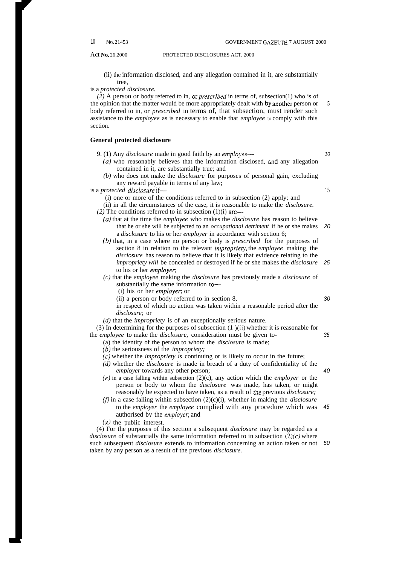(ii) the information disclosed, and any allegation contained in it, are substantially tree,

is a *protected disclosure.*

*(2)* A person or body referred to in, or *prescribed* in terms of, subsection(1) who is of the opinion that the matter would be more appropriately dealt with by another person or body referred to in, or *prescribed* in terms of, that subsection, must render such assistance to the *employee* as is necessary to enable that *employee* to comply with this section. 5

#### **General protected disclosure**

- 9. (1) Any *disclosure* made in good faith by an *employee—*
	- *(a)* who reasonably believes that the information disclosed, and any allegation contained in it, are substantially true; and
	- *(b)* who does not make the *disclosure* for purposes of personal gain, excluding any reward payable in terms of any law;

is a *protected disclosure* if—

- (i) one or more of the conditions referred to in subsection (2) apply; and
- (ii) in all the circumstances of the case, it is reasonable to make the *disclosure.*
- $(2)$  The conditions referred to in subsection  $(1)(i)$  are—
- (a) that at the time the *employee* who makes the *disclosure* has reason to believe that he or she will be subjected to an *occupational detriment* if he or she makes 20 a *disclosure* to his or her *employer* in accordance with section 6;
- *(b)* that, in a case where no person or body is *prescribed* for the purposes of section 8 in relation to the relevant *impropriety*, the *employee* making the *disclosure* has reason to believe that it is likely that evidence relating to the *impropriety will* be concealed or destroyed if he or she makes the *disclosure* to his or her *employe~* 25
- *(c)* that the *employee* making the *disclosure* has previously made a *disclosure* of substantially the same information to—
	- (i) his or her *employer*; or
	- (ii) a person or body referred to in section 8,
	- in respect of which no action was taken within a reasonable period after the *disclosure;* or
- *(d)* that the *impropriety* is of an exceptionally serious nature.

(3) In determining for the purposes of subsection  $(1)(ii)$  whether it is reasonable for the *employee* to make the *disclosure,* consideration must be given to- 35

- (a) the identity of the person to whom the *disclosure is* made;
- *(b)* the seriousness of the *impropriety;*
- *(c)* whether the *impropriety is* continuing or is likely to occur in the future;
- *(d)* whether the *disclosure* is made in breach of a duty of confidentiality of the *employer* towards any other person;
- (e) in a case falling within subsection (2)(c), any action which the *employer* or the person or body to whom the *disclosure* was made, has taken, or might reasonably be expected to have taken, as a result of the previous *disclosure*;
- $(f)$  in a case falling within subsection  $(2)(c)(i)$ , whether in making the *disclosure* to the *employer* the *employee* complied with any procedure which was authorised by the *employer*; and 45
- (g) the public interest.

(4) For the purposes of this section a subsequent *disclosure* may be regarded as a *disclosure* of substantially the same information referred to in subsection  $(2)(c)$  where such subsequent *disclosure* extends to information concerning an action taken or not 50taken by any person as a result of the previous *disclosure.*

10

15

30

40